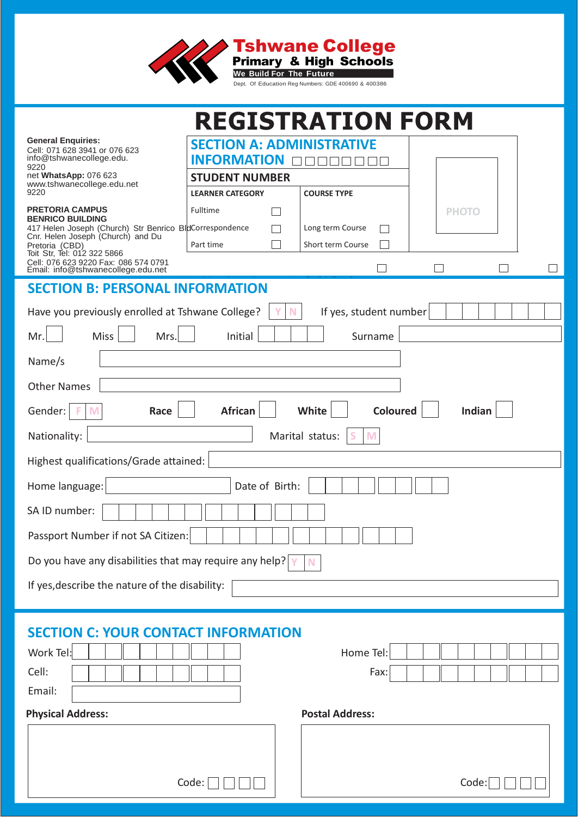

|                                                                                    |                                  | <b>REGISTRATION FORM</b> |              |  |  |  |
|------------------------------------------------------------------------------------|----------------------------------|--------------------------|--------------|--|--|--|
| <b>General Enquiries:</b><br>Cell: 071 628 3941 or 076 623                         | <b>SECTION A: ADMINISTRATIVE</b> |                          |              |  |  |  |
| info@tshwanecollege.edu.<br>9220                                                   | <b>INFORMATION</b>               |                          |              |  |  |  |
| net WhatsApp: 076 623<br>www.tshwanecollege.edu.net                                | <b>STUDENT NUMBER</b>            |                          |              |  |  |  |
| 9220<br><b>PRETORIA CAMPUS</b>                                                     | <b>LEARNER CATEGORY</b>          | <b>COURSE TYPE</b>       |              |  |  |  |
| <b>BENRICO BUILDING</b><br>417 Helen Joseph (Church) Str Benrico BldCorrespondence | Fulltime                         | Long term Course         | <b>PHOTO</b> |  |  |  |
| Cnr. Helen Joseph (Church) and Du<br>Pretoria (CBD)                                | Part time                        | Short term Course        |              |  |  |  |
| Toit Str, Tel: 012 322 5866<br>Cell: 076 623 9220 Fax: 086 574 0791                |                                  |                          |              |  |  |  |
| Email: info@tshwanecollege.edu.net                                                 |                                  |                          |              |  |  |  |
| <b>SECTION B: PERSONAL INFORMATION</b>                                             |                                  |                          |              |  |  |  |
| Have you previously enrolled at Tshwane College?                                   |                                  | If yes, student number   |              |  |  |  |
| Mr.<br><b>Miss</b><br>Mrs.                                                         | Initial                          | Surname                  |              |  |  |  |
| Name/s                                                                             |                                  |                          |              |  |  |  |
| <b>Other Names</b>                                                                 |                                  |                          |              |  |  |  |
| <b>Coloured</b><br>Indian<br>Gender:<br><b>African</b><br>White<br>M<br>Race       |                                  |                          |              |  |  |  |
| Nationality:                                                                       |                                  | Marital status:<br>M     |              |  |  |  |
| Highest qualifications/Grade attained:                                             |                                  |                          |              |  |  |  |
| Home language:                                                                     | Date of Birth:                   |                          |              |  |  |  |
| SA ID number:                                                                      |                                  |                          |              |  |  |  |
| Passport Number if not SA Citizen:                                                 |                                  |                          |              |  |  |  |
| Do you have any disabilities that may require any help? $\gamma$                   |                                  |                          |              |  |  |  |
| If yes, describe the nature of the disability:                                     |                                  |                          |              |  |  |  |
|                                                                                    |                                  |                          |              |  |  |  |
|                                                                                    |                                  |                          |              |  |  |  |
| <b>SECTION C: YOUR CONTACT INFORMATION</b>                                         |                                  |                          |              |  |  |  |
| Work Tel:                                                                          |                                  | Home Tel:                |              |  |  |  |
| Cell:                                                                              |                                  | Fax:                     |              |  |  |  |
| Email:                                                                             |                                  |                          |              |  |  |  |
| <b>Physical Address:</b>                                                           |                                  | <b>Postal Address:</b>   |              |  |  |  |
|                                                                                    |                                  |                          |              |  |  |  |
|                                                                                    |                                  |                          |              |  |  |  |
|                                                                                    | Code:                            |                          | Code:        |  |  |  |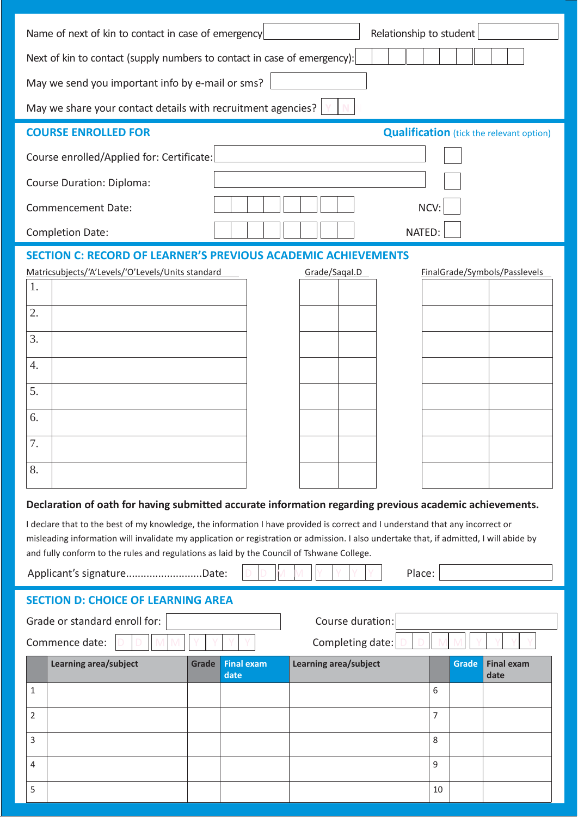| Name of next of kin to contact in case of emergency<br>Relationship to student                                                                                                                                                                                                                                                                                                                                                                                                                                                                                                                                                                                                                                                                                    |                                           |  |  |  |  |  |
|-------------------------------------------------------------------------------------------------------------------------------------------------------------------------------------------------------------------------------------------------------------------------------------------------------------------------------------------------------------------------------------------------------------------------------------------------------------------------------------------------------------------------------------------------------------------------------------------------------------------------------------------------------------------------------------------------------------------------------------------------------------------|-------------------------------------------|--|--|--|--|--|
| Next of kin to contact (supply numbers to contact in case of emergency):                                                                                                                                                                                                                                                                                                                                                                                                                                                                                                                                                                                                                                                                                          |                                           |  |  |  |  |  |
| May we send you important info by e-mail or sms?                                                                                                                                                                                                                                                                                                                                                                                                                                                                                                                                                                                                                                                                                                                  |                                           |  |  |  |  |  |
| May we share your contact details with recruitment agencies?                                                                                                                                                                                                                                                                                                                                                                                                                                                                                                                                                                                                                                                                                                      |                                           |  |  |  |  |  |
| <b>COURSE ENROLLED FOR</b><br><b>Qualification</b> (tick the relevant option)                                                                                                                                                                                                                                                                                                                                                                                                                                                                                                                                                                                                                                                                                     |                                           |  |  |  |  |  |
| Course enrolled/Applied for: Certificate:                                                                                                                                                                                                                                                                                                                                                                                                                                                                                                                                                                                                                                                                                                                         |                                           |  |  |  |  |  |
| Course Duration: Diploma:                                                                                                                                                                                                                                                                                                                                                                                                                                                                                                                                                                                                                                                                                                                                         |                                           |  |  |  |  |  |
| <b>Commencement Date:</b>                                                                                                                                                                                                                                                                                                                                                                                                                                                                                                                                                                                                                                                                                                                                         | NCV:                                      |  |  |  |  |  |
| <b>Completion Date:</b>                                                                                                                                                                                                                                                                                                                                                                                                                                                                                                                                                                                                                                                                                                                                           | NATED:                                    |  |  |  |  |  |
| <b>SECTION C: RECORD OF LEARNER'S PREVIOUS ACADEMIC</b><br><b>ACHIEVEMENTS</b><br>Matricsubjects/'A'Levels/'O'Levels/Units standard<br>Grade/Sagal.D<br>FinalGrade/Symbols/Passlevels<br>1.<br>2.<br>3.<br>4.<br>5.<br>6.<br>7.<br>8.<br>Declaration of oath for having submitted accurate information regarding previous academic achievements.<br>I declare that to the best of my knowledge, the information I have provided is correct and I understand that any incorrect or<br>misleading information will invalidate my application or registration or admission. I also undertake that, if admitted, I will abide by<br>and fully conform to the rules and regulations as laid by the Council of Tshwane College.<br>Place:<br>Applicant's signatureDate: |                                           |  |  |  |  |  |
| <b>SECTION D: CHOICE OF LEARNING AREA</b>                                                                                                                                                                                                                                                                                                                                                                                                                                                                                                                                                                                                                                                                                                                         |                                           |  |  |  |  |  |
| Grade or standard enroll for:<br>Course duration:                                                                                                                                                                                                                                                                                                                                                                                                                                                                                                                                                                                                                                                                                                                 |                                           |  |  |  |  |  |
| Commence date:<br>Completing date:                                                                                                                                                                                                                                                                                                                                                                                                                                                                                                                                                                                                                                                                                                                                |                                           |  |  |  |  |  |
| Learning area/subject<br><b>Final exam</b><br>Learning area/subject<br>Grade<br>date                                                                                                                                                                                                                                                                                                                                                                                                                                                                                                                                                                                                                                                                              | <b>Final exam</b><br><b>Grade</b><br>date |  |  |  |  |  |
| 1                                                                                                                                                                                                                                                                                                                                                                                                                                                                                                                                                                                                                                                                                                                                                                 | 6                                         |  |  |  |  |  |
| 2                                                                                                                                                                                                                                                                                                                                                                                                                                                                                                                                                                                                                                                                                                                                                                 | 7                                         |  |  |  |  |  |
| 3                                                                                                                                                                                                                                                                                                                                                                                                                                                                                                                                                                                                                                                                                                                                                                 | 8                                         |  |  |  |  |  |
| 4                                                                                                                                                                                                                                                                                                                                                                                                                                                                                                                                                                                                                                                                                                                                                                 | 9                                         |  |  |  |  |  |
| 5                                                                                                                                                                                                                                                                                                                                                                                                                                                                                                                                                                                                                                                                                                                                                                 | 10                                        |  |  |  |  |  |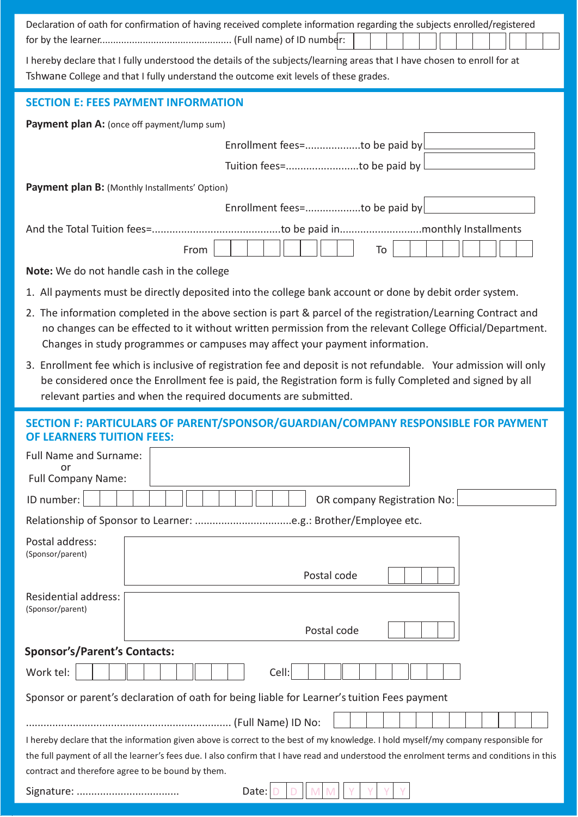| Declaration of oath for confirmation of having received complete information regarding the subjects enrolled/registered                                                                                                                                                                                                              |  |  |  |  |
|--------------------------------------------------------------------------------------------------------------------------------------------------------------------------------------------------------------------------------------------------------------------------------------------------------------------------------------|--|--|--|--|
| I hereby declare that I fully understood the details of the subjects/learning areas that I have chosen to enroll for at<br>Tshwane College and that I fully understand the outcome exit levels of these grades.                                                                                                                      |  |  |  |  |
| <b>SECTION E: FEES PAYMENT INFORMATION</b>                                                                                                                                                                                                                                                                                           |  |  |  |  |
| Payment plan A: (once off payment/lump sum)                                                                                                                                                                                                                                                                                          |  |  |  |  |
| Enrollment fees=to be paid by                                                                                                                                                                                                                                                                                                        |  |  |  |  |
| Tuition fees=to be paid by                                                                                                                                                                                                                                                                                                           |  |  |  |  |
| Payment plan B: (Monthly Installments' Option)                                                                                                                                                                                                                                                                                       |  |  |  |  |
| Enrollment fees=to be paid by                                                                                                                                                                                                                                                                                                        |  |  |  |  |
|                                                                                                                                                                                                                                                                                                                                      |  |  |  |  |
| To<br>From                                                                                                                                                                                                                                                                                                                           |  |  |  |  |
| Note: We do not handle cash in the college                                                                                                                                                                                                                                                                                           |  |  |  |  |
| 1. All payments must be directly deposited into the college bank account or done by debit order system.                                                                                                                                                                                                                              |  |  |  |  |
| 2. The information completed in the above section is part & parcel of the registration/Learning Contract and<br>no changes can be effected to it without written permission from the relevant College Official/Department.<br>Changes in study programmes or campuses may affect your payment information.                           |  |  |  |  |
| 3. Enrollment fee which is inclusive of registration fee and deposit is not refundable. Your admission will only<br>be considered once the Enrollment fee is paid, the Registration form is fully Completed and signed by all<br>relevant parties and when the required documents are submitted.                                     |  |  |  |  |
| SECTION F: PARTICULARS OF PARENT/SPONSOR/GUARDIAN/COMPANY RESPONSIBLE FOR PAYMENT<br><b>OF LEARNERS TUITION FEES:</b>                                                                                                                                                                                                                |  |  |  |  |
| Full Name and Surname:                                                                                                                                                                                                                                                                                                               |  |  |  |  |
| or<br><b>Full Company Name:</b>                                                                                                                                                                                                                                                                                                      |  |  |  |  |
| ID number:<br>OR company Registration No:                                                                                                                                                                                                                                                                                            |  |  |  |  |
|                                                                                                                                                                                                                                                                                                                                      |  |  |  |  |
| Postal address:<br>(Sponsor/parent)                                                                                                                                                                                                                                                                                                  |  |  |  |  |
| Postal code                                                                                                                                                                                                                                                                                                                          |  |  |  |  |
| Residential address:<br>(Sponsor/parent)                                                                                                                                                                                                                                                                                             |  |  |  |  |
| Postal code                                                                                                                                                                                                                                                                                                                          |  |  |  |  |
| <b>Sponsor's/Parent's Contacts:</b>                                                                                                                                                                                                                                                                                                  |  |  |  |  |
| Work tel:<br>Cell:                                                                                                                                                                                                                                                                                                                   |  |  |  |  |
|                                                                                                                                                                                                                                                                                                                                      |  |  |  |  |
| Sponsor or parent's declaration of oath for being liable for Learner's tuition Fees payment                                                                                                                                                                                                                                          |  |  |  |  |
|                                                                                                                                                                                                                                                                                                                                      |  |  |  |  |
| I hereby declare that the information given above is correct to the best of my knowledge. I hold myself/my company responsible for<br>the full payment of all the learner's fees due. I also confirm that I have read and understood the enrolment terms and conditions in this<br>contract and therefore agree to be bound by them. |  |  |  |  |
| Date:                                                                                                                                                                                                                                                                                                                                |  |  |  |  |